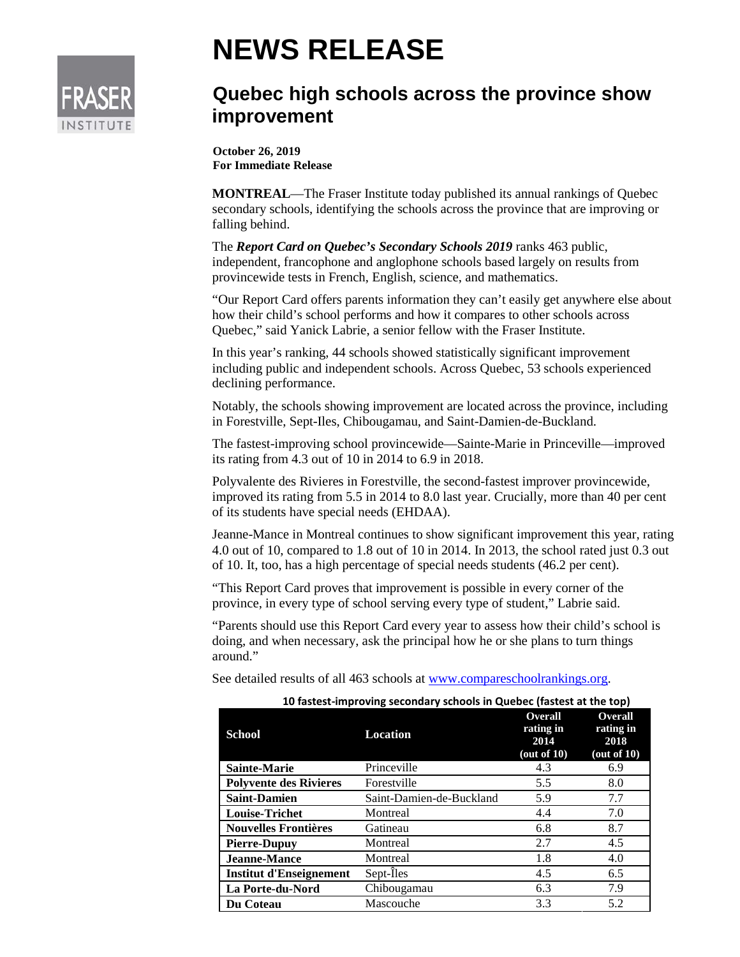

## **NEWS RELEASE**

## **Quebec high schools across the province show improvement**

**October 26, 2019 For Immediate Release**

**MONTREAL**—The Fraser Institute today published its annual rankings of Quebec secondary schools, identifying the schools across the province that are improving or falling behind.

The *Report Card on Quebec's Secondary Schools 2019* ranks 463 public, independent, francophone and anglophone schools based largely on results from provincewide tests in French, English, science, and mathematics.

"Our Report Card offers parents information they can't easily get anywhere else about how their child's school performs and how it compares to other schools across Quebec," said Yanick Labrie, a senior fellow with the Fraser Institute.

In this year's ranking, 44 schools showed statistically significant improvement including public and independent schools. Across Quebec, 53 schools experienced declining performance.

Notably, the schools showing improvement are located across the province, including in Forestville, Sept-Iles, Chibougamau, and Saint-Damien-de-Buckland.

The fastest-improving school provincewide—Sainte-Marie in Princeville—improved its rating from 4.3 out of 10 in 2014 to 6.9 in 2018.

Polyvalente des Rivieres in Forestville, the second-fastest improver provincewide, improved its rating from 5.5 in 2014 to 8.0 last year. Crucially, more than 40 per cent of its students have special needs (EHDAA).

Jeanne-Mance in Montreal continues to show significant improvement this year, rating 4.0 out of 10, compared to 1.8 out of 10 in 2014. In 2013, the school rated just 0.3 out of 10. It, too, has a high percentage of special needs students (46.2 per cent).

"This Report Card proves that improvement is possible in every corner of the province, in every type of school serving every type of student," Labrie said.

"Parents should use this Report Card every year to assess how their child's school is doing, and when necessary, ask the principal how he or she plans to turn things around."

See detailed results of all 463 schools at [www.compareschoolrankings.org.](http://www.compareschoolrankings.org/)

| 10 fastest-improving secondary schools in Quebec (fastest at the top) |                          |                                                    |                                                   |
|-----------------------------------------------------------------------|--------------------------|----------------------------------------------------|---------------------------------------------------|
| <b>School</b>                                                         | Location                 | <b>Overall</b><br>rating in<br>2014<br>(out of 10) | Overall<br>rating in<br>2018<br>$($ out of 10 $)$ |
| <b>Sainte-Marie</b>                                                   | Princeville              | 4.3                                                | 6.9                                               |
| <b>Polyvente des Rivieres</b>                                         | Forestville              | 5.5                                                | 8.0                                               |
| <b>Saint-Damien</b>                                                   | Saint-Damien-de-Buckland | 5.9                                                | 7.7                                               |
| <b>Louise-Trichet</b>                                                 | Montreal                 | 4.4                                                | 7.0                                               |
| <b>Nouvelles Frontières</b>                                           | Gatineau                 | 6.8                                                | 8.7                                               |
| <b>Pierre-Dupuy</b>                                                   | Montreal                 | 2.7                                                | 4.5                                               |
| <b>Jeanne-Mance</b>                                                   | Montreal                 | 1.8                                                | 4.0                                               |
| Institut d'Enseignement                                               | Sept-Îles                | 4.5                                                | 6.5                                               |
| La Porte-du-Nord                                                      | Chibougamau              | 6.3                                                | 7.9                                               |
| Du Coteau                                                             | Mascouche                | 3.3                                                | 5.2                                               |